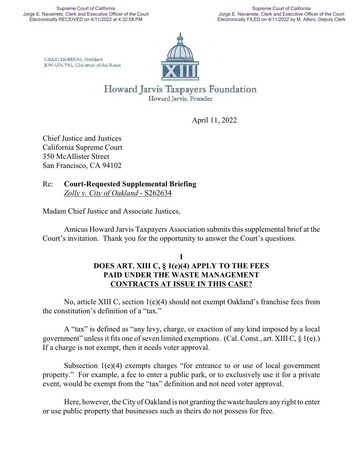CRAIG MORDOH, President JON COUPAL, Chairman of the Board



Howard Jarvis Taxpayers Foundation Howard Jarvis, Founder

April 11, 2022

Chief Justice and Justices California Supreme Court 350 McAllister Street San Francisco, CA 94102

Re: **Court-Requested Supplemental Briefing** *Zolly v. City of Oakland* - S262634

Madam Chief Justice and Associate Justices,

Amicus Howard Jarvis Taxpayers Association submits this supplemental brief at the Court's invitation. Thank you for the opportunity to answer the Court's questions.

## **I DOES ART. XIII C, § 1(e)(4) APPLY TO THE FEES PAID UNDER THE WASTE MANAGEMENT CONTRACTS AT ISSUE IN THIS CASE?**

No, article XIII C, section 1(e)(4) should not exempt Oakland's franchise fees from the constitution's definition of a "tax."

A "tax" is defined as "any levy, charge, or exaction of any kind imposed by a local government" unless it fits one of seven limited exemptions. (Cal. Const., art. XIII C,  $\S$  1(e).) If a charge is not exempt, then it needs voter approval.

Subsection 1(e)(4) exempts charges "for entrance to or use of local government property." For example, a fee to enter a public park, or to exclusively use it for a private event, would be exempt from the "tax" definition and not need voter approval.

Here, however, the City of Oakland is not granting the waste haulers any right to enter or use public property that businesses such as theirs do not possess for free.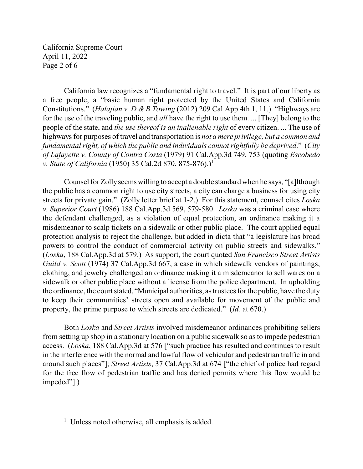California Supreme Court April 11, 2022 Page 2 of 6

California law recognizes a "fundamental right to travel." It is part of our liberty as a free people, a "basic human right protected by the United States and California Constitutions." (*Halajian v. D & B Towing* (2012) 209 Cal.App.4th 1, 11.) "Highways are for the use of the traveling public, and *all* have the right to use them. ... [They] belong to the people of the state, and *the use thereof is an inalienable right* of every citizen. ... The use of highways for purposes of travel and transportation is *not a mere privilege, but a common and fundamental right, of which the public and individuals cannot rightfully be deprived*." (*City of Lafayette v. County of Contra Costa* (1979) 91 Cal.App.3d 749, 753 (quoting *Escobedo v. State of California* (1950) 35 Cal.2d 870, 875-876).)<sup>1</sup>

Counsel for Zollyseems willing to accept a double standard when he says, "[a]lthough the public has a common right to use city streets, a city can charge a business for using city streets for private gain." (Zolly letter brief at 1-2.) For this statement, counsel cites *Loska v. Superior Court* (1986) 188 Cal.App.3d 569, 579-580. *Loska* was a criminal case where the defendant challenged, as a violation of equal protection, an ordinance making it a misdemeanor to scalp tickets on a sidewalk or other public place. The court applied equal protection analysis to reject the challenge, but added in dicta that "a legislature has broad powers to control the conduct of commercial activity on public streets and sidewalks." (*Loska*, 188 Cal.App.3d at 579.) As support, the court quoted *San Francisco Street Artists Guild v. Scott* (1974) 37 Cal.App.3d 667, a case in which sidewalk vendors of paintings, clothing, and jewelry challenged an ordinance making it a misdemeanor to sell wares on a sidewalk or other public place without a license from the police department. In upholding the ordinance, the court stated, "Municipal authorities, as trustees for the public, have the duty to keep their communities' streets open and available for movement of the public and property, the prime purpose to which streets are dedicated." (*Id.* at 670.)

Both *Loska* and *Street Artists* involved misdemeanor ordinances prohibiting sellers from setting up shop in a stationary location on a public sidewalk so as to impede pedestrian access. (*Loska*, 188 Cal.App.3d at 576 ["such practice has resulted and continues to result in the interference with the normal and lawful flow of vehicular and pedestrian traffic in and around such places"]; *Street Artists*, 37 Cal.App.3d at 674 ["the chief of police had regard for the free flow of pedestrian traffic and has denied permits where this flow would be impeded"].)

 $<sup>1</sup>$  Unless noted otherwise, all emphasis is added.</sup>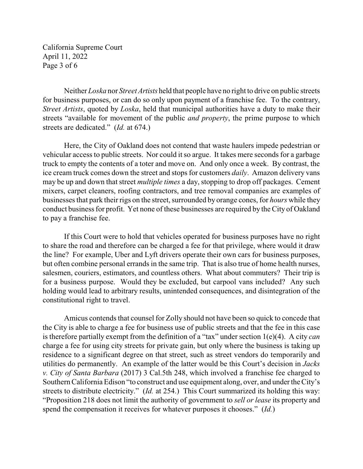California Supreme Court April 11, 2022 Page 3 of 6

Neither *Loska* nor *Street Artists* held that people have no right to drive on public streets for business purposes, or can do so only upon payment of a franchise fee. To the contrary, *Street Artists*, quoted by *Loska*, held that municipal authorities have a duty to make their streets "available for movement of the public *and property*, the prime purpose to which streets are dedicated." (*Id.* at 674.)

Here, the City of Oakland does not contend that waste haulers impede pedestrian or vehicular access to public streets. Nor could it so argue. It takes mere seconds for a garbage truck to empty the contents of a toter and move on. And only once a week. By contrast, the ice cream truck comes down the street and stops for customers *daily*. Amazon delivery vans may be up and down that street *multiple times* a day, stopping to drop off packages. Cement mixers, carpet cleaners, roofing contractors, and tree removal companies are examples of businesses that park their rigs on the street, surrounded by orange cones, for *hours* while they conduct business for profit. Yet none of these businesses are required by the City of Oakland to pay a franchise fee.

If this Court were to hold that vehicles operated for business purposes have no right to share the road and therefore can be charged a fee for that privilege, where would it draw the line? For example, Uber and Lyft drivers operate their own cars for business purposes, but often combine personal errands in the same trip. That is also true of home health nurses, salesmen, couriers, estimators, and countless others. What about commuters? Their trip is for a business purpose. Would they be excluded, but carpool vans included? Any such holding would lead to arbitrary results, unintended consequences, and disintegration of the constitutional right to travel.

Amicus contends that counsel for Zolly should not have been so quick to concede that the City is able to charge a fee for business use of public streets and that the fee in this case is therefore partially exempt from the definition of a "tax" under section 1(e)(4). A city *can* charge a fee for using city streets for private gain, but only where the business is taking up residence to a significant degree on that street, such as street vendors do temporarily and utilities do permanently. An example of the latter would be this Court's decision in *Jacks v. City of Santa Barbara* (2017) 3 Cal.5th 248, which involved a franchise fee charged to Southern California Edison "to construct and use equipment along, over, and under the City's streets to distribute electricity." (*Id.* at 254.) This Court summarized its holding this way: "Proposition 218 does not limit the authority of government to *sell or lease* its property and spend the compensation it receives for whatever purposes it chooses." (*Id.*)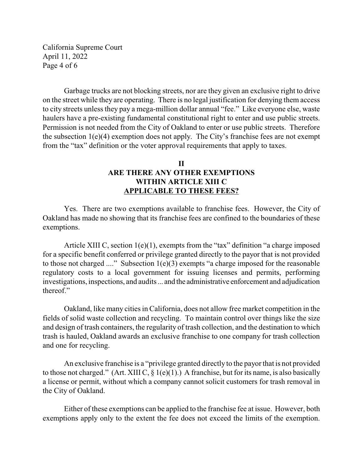California Supreme Court April 11, 2022 Page 4 of 6

Garbage trucks are not blocking streets, nor are they given an exclusive right to drive on the street while they are operating. There is no legal justification for denying them access to city streets unless they pay a mega-million dollar annual "fee." Like everyone else, waste haulers have a pre-existing fundamental constitutional right to enter and use public streets. Permission is not needed from the City of Oakland to enter or use public streets. Therefore the subsection  $1(e)(4)$  exemption does not apply. The City's franchise fees are not exempt from the "tax" definition or the voter approval requirements that apply to taxes.

## **II ARE THERE ANY OTHER EXEMPTIONS WITHIN ARTICLE XIII C APPLICABLE TO THESE FEES?**

Yes. There are two exemptions available to franchise fees. However, the City of Oakland has made no showing that its franchise fees are confined to the boundaries of these exemptions.

Article XIII C, section 1(e)(1), exempts from the "tax" definition "a charge imposed for a specific benefit conferred or privilege granted directly to the payor that is not provided to those not charged ...." Subsection  $1(e)(3)$  exempts "a charge imposed for the reasonable regulatory costs to a local government for issuing licenses and permits, performing investigations, inspections, and audits... and the administrative enforcement and adjudication thereof."

Oakland, like many cities in California, does not allow free market competition in the fields of solid waste collection and recycling. To maintain control over things like the size and design of trash containers, the regularity of trash collection, and the destination to which trash is hauled, Oakland awards an exclusive franchise to one company for trash collection and one for recycling.

An exclusive franchise is a "privilege granted directly to the payor that is not provided to those not charged." (Art. XIII C,  $\S$  1(e)(1).) A franchise, but for its name, is also basically a license or permit, without which a company cannot solicit customers for trash removal in the City of Oakland.

Either of these exemptions can be applied to the franchise fee at issue. However, both exemptions apply only to the extent the fee does not exceed the limits of the exemption.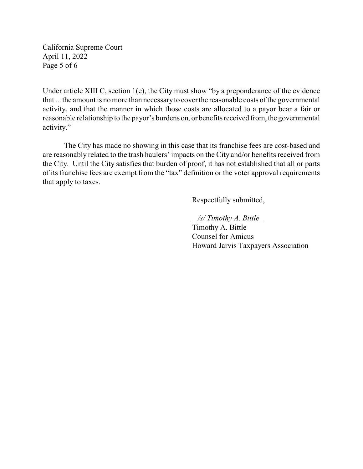California Supreme Court April 11, 2022 Page 5 of 6

Under article XIII C, section 1(e), the City must show "by a preponderance of the evidence that ... the amount is no more than necessary to cover the reasonable costs of the governmental activity, and that the manner in which those costs are allocated to a payor bear a fair or reasonable relationship to the payor's burdens on, or benefits received from, the governmental activity."

The City has made no showing in this case that its franchise fees are cost-based and are reasonably related to the trash haulers' impacts on the City and/or benefits received from the City. Until the City satisfies that burden of proof, it has not established that all or parts of its franchise fees are exempt from the "tax" definition or the voter approval requirements that apply to taxes.

Respectfully submitted,

 */s/ Timothy A. Bittle* 

Timothy A. Bittle Counsel for Amicus Howard Jarvis Taxpayers Association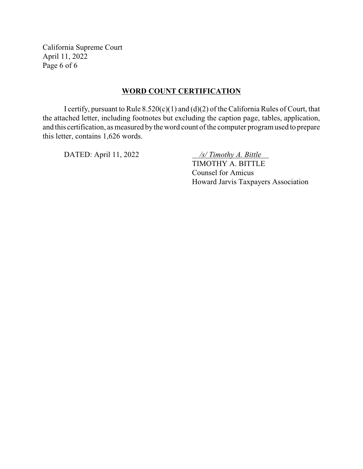California Supreme Court April 11, 2022 Page 6 of 6

### **WORD COUNT CERTIFICATION**

I certify, pursuant to Rule 8.520(c)(1) and (d)(2) of the California Rules of Court, that the attached letter, including footnotes but excluding the caption page, tables, application, and this certification, as measured by the word count of the computer program used to prepare this letter, contains 1,626 words.

DATED: April 11, 2022 */s/ Timothy A. Bittle* 

TIMOTHY A. BITTLE Counsel for Amicus Howard Jarvis Taxpayers Association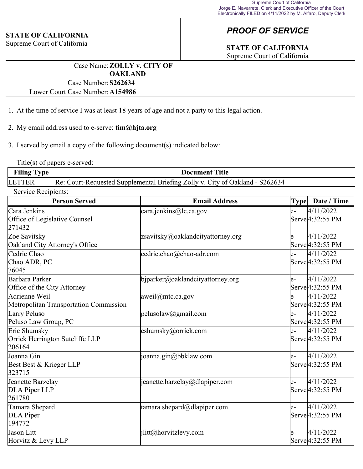### **STATE OF CALIFORNIA**

Supreme Court of California

# *PROOF OF SERVICE*

# **STATE OF CALIFORNIA**

Supreme Court of California

Case Name:**ZOLLY v. CITY OF OAKLAND** Case Number:**S262634**

Lower Court Case Number:**A154986**

- 1. At the time of service I was at least 18 years of age and not a party to this legal action.
- 2. My email address used to e-serve: **tim@hjta.org**

3. I served by email a copy of the following document(s) indicated below:

Title(s) of papers e-served:

| <b>Filing Type</b>  | <b>Document Title</b>                                                        |
|---------------------|------------------------------------------------------------------------------|
| <b>LETTER</b>       | Re: Court-Requested Supplemental Briefing Zolly v. City of Oakland - S262634 |
| Service Recipients: |                                                                              |

| <b>Person Served</b>                                      | <b>Email Address</b>              | Type | Date / Time                                |
|-----------------------------------------------------------|-----------------------------------|------|--------------------------------------------|
| Cara Jenkins<br>Office of Legislative Counsel<br>271432   | cara.jenkins@lc.ca.gov            | $e-$ | 4/11/2022<br>Serve <sup>[4:32:55</sup> PM  |
| Zoe Savitsky<br>Oakland City Attorney's Office            | zsavitsky@oaklandcityattorney.org | $e-$ | 4/11/2022<br>Serve 4:32:55 PM              |
| Cedric Chao<br>Chao ADR, PC<br>76045                      | cedric.chao@chao-adr.com          | $e-$ | 4/11/2022<br>Serve <sup>[4:32:55</sup> PM  |
| Barbara Parker<br>Office of the City Attorney             | bjparker@oaklandcityattorney.org  | $e-$ | 4/11/2022<br>Serve 4:32:55 PM              |
| Adrienne Weil<br>Metropolitan Transportation Commission   | $aweil@$ mtc.ca.gov               | $e-$ | 4/11/2022<br>Serve 4:32:55 PM              |
| Larry Peluso<br>Peluso Law Group, PC                      | pelusolaw@gmail.com               | $e-$ | 4/11/2022<br>Serve 4:32:55 PM              |
| Eric Shumsky<br>Orrick Herrington Sutcliffe LLP<br>206164 | eshumsky@orrick.com               | $e-$ | 4/11/2022<br>Serve <sup>[4:32:55</sup> PM  |
| Joanna Gin<br>Best Best & Krieger LLP<br>323715           | joanna.gin@bbklaw.com             | $e-$ | 4/11/2022<br>Serve 4:32:55 PM              |
| Jeanette Barzelay<br>DLA Piper LLP<br>261780              | jeanette.barzelay@dlapiper.com    | $e-$ | 4/11/2022<br>Serve <sup>[4:32:55 PM]</sup> |
| Tamara Shepard<br>DLA Piper<br>194772                     | tamara.shepard@dlapiper.com       | $e-$ | 4/11/2022<br>Serve <sup>[4:32:55 PM]</sup> |
| Jason Litt<br>Horvitz & Levy LLP                          | jlitt@horvitzlevy.com             | $e-$ | 4/11/2022<br>Serve <sup>[4:32:55 PM]</sup> |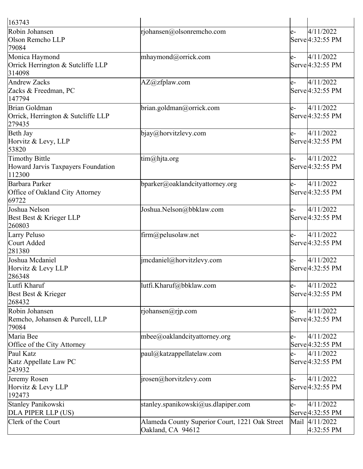| 163743                                                         |                                                                     |      |                                            |
|----------------------------------------------------------------|---------------------------------------------------------------------|------|--------------------------------------------|
| Robin Johansen<br>Olson Remcho LLP<br>79084                    | rjohansen@olsonremcho.com                                           | $e-$ | 4/11/2022<br>Serve <sup>[4:32:55 PM]</sup> |
| Monica Haymond<br>Orrick Herrington & Sutcliffe LLP<br>314098  | mhaymond@orrick.com                                                 | $e-$ | 4/11/2022<br>Serve 4:32:55 PM              |
| Andrew Zacks<br>Zacks & Freedman, PC<br>147794                 | AZ@zfplaw.com                                                       | $e-$ | 4/11/2022<br>Serve <sup>[4:32:55</sup> PM  |
| Brian Goldman<br>Orrick, Herrington & Sutcliffe LLP<br>279435  | brian.goldman@orrick.com                                            | $e-$ | 4/11/2022<br>Serve <sup>[4:32:55 PM]</sup> |
| Beth Jay<br>Horvitz & Levy, LLP<br>53820                       | bigay@horvitzlevy.com                                               | $e-$ | 4/11/2022<br>Serve <sup>[4:32:55 PM]</sup> |
| Timothy Bittle<br>Howard Jarvis Taxpayers Foundation<br>112300 | tim@hjta.org                                                        | $e-$ | 4/11/2022<br>Serve <sup>[4:32:55 PM]</sup> |
| Barbara Parker<br>Office of Oakland City Attorney<br>69722     | bparker@oaklandcityattorney.org                                     | $e-$ | 4/11/2022<br>Serve <sup>[4:32:55 PM]</sup> |
| Joshua Nelson<br>Best Best & Krieger LLP<br>260803             | Joshua.Nelson@bbklaw.com                                            | $e-$ | 4/11/2022<br>Serve <sup>[4:32:55 PM]</sup> |
| Larry Peluso<br>Court Added<br>281380                          | firm@pelusolaw.net                                                  | $e-$ | 4/11/2022<br>Serve 4:32:55 PM              |
| Joshua Mcdaniel<br>Horvitz & Levy LLP<br>286348                | imcdaniel@horvitzlevy.com                                           | $e-$ | 4/11/2022<br>Serve 4:32:55 PM              |
| Lutfi Kharuf<br>Best Best & Krieger<br>268432                  | lutfi.Kharuf@bbklaw.com                                             | $e-$ | 4/11/2022<br>Serve <sup>[4:32:55 PM]</sup> |
| Robin Johansen<br>Remcho, Johansen & Purcell, LLP<br>79084     | rjohansen@rjp.com                                                   | $e-$ | 4/11/2022<br>Serve <sup>[4:32:55 PM]</sup> |
| Maria Bee<br>Office of the City Attorney                       | mbee@oaklandcityattorney.org                                        | $e-$ | 4/11/2022<br>Serve <sup>[4:32:55 PM]</sup> |
| Paul Katz<br>Katz Appellate Law PC<br>243932                   | $ $ paul@katzappellatelaw.com                                       | $e-$ | 4/11/2022<br>Serve <sup>[4:32:55 PM]</sup> |
| Jeremy Rosen<br>Horvitz & Levy LLP<br>192473                   | $ i$ rosen $@$ horvitzlevy.com                                      | $e-$ | 4/11/2022<br>Serve <sup>[4:32:55 PM]</sup> |
| Stanley Panikowski<br>DLA PIPER LLP (US)                       | stanley.spanikowski@us.dlapiper.com                                 | $e-$ | 4/11/2022<br>Serve <sup>[4:32:55 PM]</sup> |
| Clerk of the Court                                             | Alameda County Superior Court, 1221 Oak Street<br>Oakland, CA 94612 |      | Mail 4/11/2022<br>$4:32:55$ PM             |